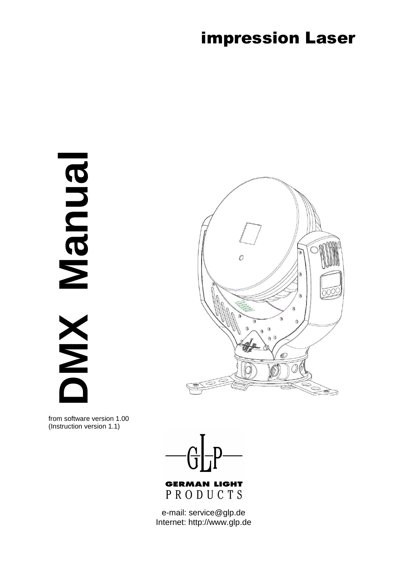## impression Laser

**DMX Manual RUDUBN XW** 



from software version 1.00 (Instruction version 1.1)



PRODUCTS

e-mail: service@glp.de Internet: http://www.glp.de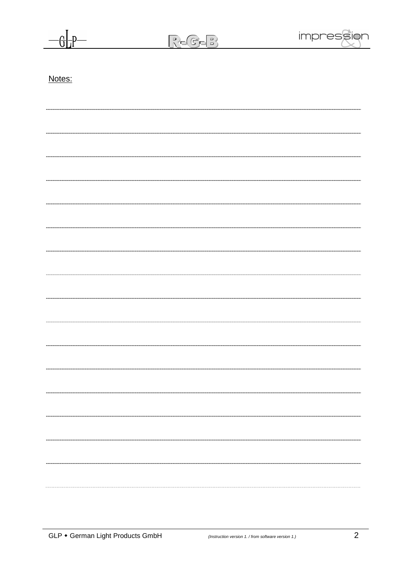R-G-B



| √ote |  |
|------|--|
|      |  |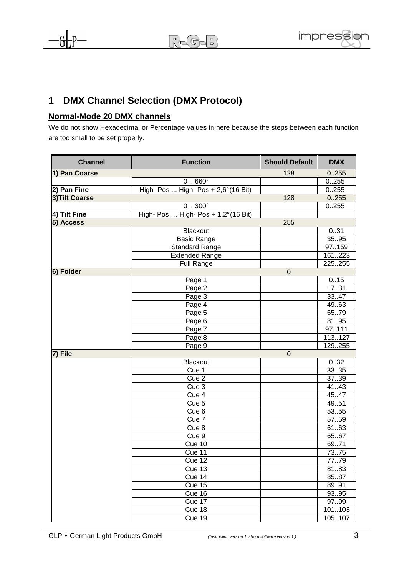## **1 DMX Channel Selection (DMX Protocol)**

## **Normal-Mode 20 DMX channels**

We do not show Hexadecimal or Percentage values in here because the steps between each function are too small to be set properly.

| <b>Channel</b> | <b>Function</b>                              | <b>Should Default</b> | <b>DMX</b> |
|----------------|----------------------------------------------|-----------------------|------------|
| 1) Pan Coarse  |                                              | 128                   | 0.255      |
|                | $0.660^\circ$                                |                       | 0.255      |
| 2) Pan Fine    | High- Pos  High- Pos + 2,6° (16 Bit)         |                       | 0.255      |
| 3) Tilt Coarse |                                              | 128                   | 0.255      |
|                | $0.300^{\circ}$                              |                       | 0.255      |
| 4) Tilt Fine   | High- Pos  High- Pos + $1,2^{\circ}(16$ Bit) |                       |            |
| 5) Access      |                                              | 255                   |            |
|                | <b>Blackout</b>                              |                       | 0.31       |
|                | <b>Basic Range</b>                           |                       | 35.95      |
|                | <b>Standard Range</b>                        |                       | 97159      |
|                | <b>Extended Range</b>                        |                       | 161223     |
|                | Full Range                                   |                       | 225.255    |
| 6) Folder      |                                              | $\overline{0}$        |            |
|                | Page 1                                       |                       | 0.15       |
|                | Page $\overline{2}$                          |                       | 1731       |
|                | Page 3                                       |                       | 33.47      |
|                | Page 4                                       |                       | 49.63      |
|                | Page 5                                       |                       | 6579       |
|                | Page 6                                       |                       | 8195       |
|                | Page 7                                       |                       | 97111      |
|                | Page 8                                       |                       | 113127     |
|                | Page 9                                       |                       | 129255     |
| 7) File        |                                              | $\overline{0}$        |            |
|                | <b>Blackout</b>                              |                       | 032        |
|                | $\overline{C}$ ue 1                          |                       | 33.35      |
|                | Cue 2                                        |                       | 3739       |
|                | $\overline{C}$ ue 3                          |                       | 41.43      |
|                | Cue 4                                        |                       | 45.47      |
|                | Cue 5                                        |                       | 49.51      |
|                | Cue <sub>6</sub>                             |                       | 5355       |
|                | Cue 7                                        |                       | 5759       |
|                | Cue <sub>8</sub>                             |                       | 6163       |
|                | Cue 9                                        |                       | 6567       |
|                | Cue 10                                       |                       | 69.71      |
|                | Cue 11                                       |                       | 7375       |
|                | Cue 12                                       |                       | 77.79      |
|                | Cue 13                                       |                       | 8183       |
|                | Cue 14                                       |                       | 85.87      |
|                | Cue 15                                       |                       | 89.91      |
|                | Cue 16                                       |                       | 9395       |
|                | Cue 17                                       |                       | 9799       |
|                | Cue 18                                       |                       | 101103     |
|                | Cue 19                                       |                       | 105107     |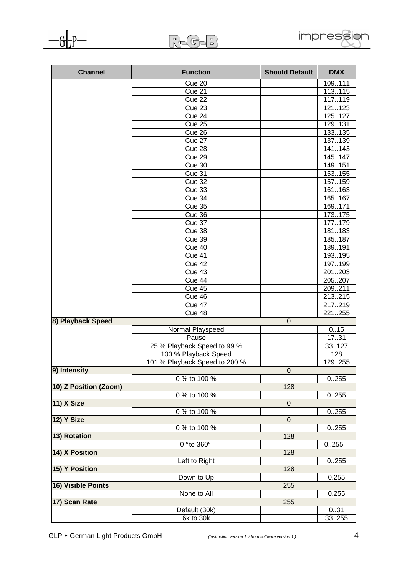

|                   | $R_{\mathbb C}$ G- $\mathbb B$ |                       | impress    |
|-------------------|--------------------------------|-----------------------|------------|
| <b>Channel</b>    | <b>Function</b>                | <b>Should Default</b> | <b>DMX</b> |
|                   | Cue 20                         |                       | 109.111    |
|                   | Cue 21                         |                       | 113.115    |
|                   | Cue 22                         |                       | 117.119    |
|                   | $\overline{\text{Cue}}$ 23     |                       | 121123     |
|                   | $\overline{\text{Cue}}$ 24     |                       | 125127     |
|                   | Cue 25                         |                       | 129.131    |
|                   | Cue 26                         |                       | 133.135    |
|                   | Cue $27$                       |                       | 137.139    |
|                   | Cue 28                         |                       | 141143     |
|                   | Cue 29                         |                       | 145.147    |
|                   | Cue 30                         |                       | 149.151    |
|                   | Cue $31$                       |                       | 153.155    |
|                   | <b>Cue 32</b>                  |                       | 157.159    |
|                   | Cue 33                         |                       | 161163     |
|                   | Cue 34                         |                       | 165.167    |
|                   | Cue 35                         |                       | 169.171    |
|                   | Cue 36                         |                       | 173.175    |
|                   | Cue 37                         |                       | 177.179    |
|                   | Cue 38                         |                       | 181183     |
|                   | Cue 39                         |                       | 185187     |
|                   | Cue $40$                       |                       | 189.191    |
|                   | Cue 41                         |                       | 193.195    |
|                   | Cue 42                         |                       | 197.199    |
|                   | Cue 43                         |                       | 201203     |
|                   | Cue 44                         |                       | 205.207    |
|                   | Cue 45                         |                       | 209.211    |
|                   | Cue 46                         |                       | 213.215    |
|                   | Cue 47                         |                       | 217.219    |
|                   | $\overline{C}$ ue 48           |                       | 221255     |
| 8) Playback Speed |                                | $\mathbf 0$           |            |
|                   | Normal Playspeed               |                       | 0.15       |
|                   | Pause                          |                       | 17 31      |

| Cue 48                        |                                                            | 221255 |
|-------------------------------|------------------------------------------------------------|--------|
|                               | $\mathbf 0$                                                |        |
| Normal Playspeed              |                                                            | 0.15   |
| Pause                         |                                                            | 17.31  |
| 25 % Playback Speed to 99 %   |                                                            | 33.127 |
| 100 % Playback Speed          |                                                            | 128    |
| 101 % Playback Speed to 200 % |                                                            | 129255 |
|                               | $\mathbf 0$                                                |        |
| 0 % to 100 %                  |                                                            | 0.255  |
|                               | 128                                                        |        |
| 0 % to 100 %                  |                                                            | 0.255  |
|                               | $\overline{0}$                                             |        |
| 0 % to 100 %                  |                                                            | 0.255  |
|                               | $\mathbf 0$                                                |        |
| 0 % to 100 %                  |                                                            | 0.255  |
|                               | 128                                                        |        |
|                               |                                                            | 0.255  |
|                               | 128                                                        |        |
|                               |                                                            | 0.255  |
|                               | 128                                                        |        |
| Down to Up                    |                                                            | 0.255  |
|                               | 255                                                        |        |
| None to All                   |                                                            | 0.255  |
|                               |                                                            |        |
|                               |                                                            | 0.31   |
|                               |                                                            | 33255  |
|                               | 0 ° to 360°<br>Left to Right<br>Default (30k)<br>6k to 30k | 255    |